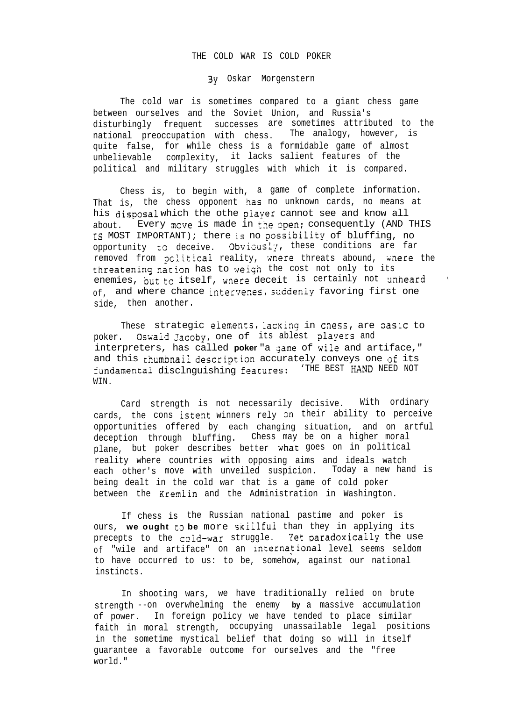## THE COLD WAR IS COLD POKER

!3y Oskar Morgenstern

The cold war is sometimes compared to a giant chess game between ourselves and the Soviet Union, and Russia's disturbingly frequent successes are sometimes attributed to the national preoccupation with chess. The analogy, however, is quite false, for while chess is a formidable game of almost unbelievable complexity, it lacks salient features of the political and military struggles with which it is compared.

Chess is, to begin with, a game of complete information. That is, the chess opponent has no unknown cards, no means at his disposal which the othe piayer cannot see and know all about. Every move is made in the open; consequently (AND THIS IS MOST IMPORTANT); there is no possibility of bluffing, no opportunity to deceive. Obviously, these conditions are far removed from political reality, wnere threats abound, wnere the threatening nation has to weigh the cost not only to its enemies, but to itself, wnere deceit is certainly not unheard  $of$ , and where chance intervenes, suddenly favoring first one side, then another.

These strategic elements, lacking in cness, are pasic to poker. Oswald Jacoby, one of its ablest players and interpreters, has called **poker** "a game of wile and artiface," and this thumbnail description accurately conveys one of its fundamental disclnguishing features: 'THE BEST HAND NEED NOT WIN.

Card strength is not necessarily decisive. With ordinary cards, the cons istent winners rely 3n their ability to perceive opportunities offered by each changing situation, and on artful deception through bluffing. Chess may be on a higher moral plane, but poker describes better uhat goes on in political reality where countries with opposing aims and ideals watch each other's move with unveiled suspicion. Today a new hand is being dealt in the cold war that is a game of cold poker between the Xremlin and the Administration in Washington.

If chess is the Russian national pastime and poker is ours, we ought to be more skillful than they in applying its precepts to the cold-war struggle. Yet paradoxically the use of "wile and artiface" on an international level seems seldom to have occurred to us: to be, somehow, against our national instincts.

In shooting wars, we have traditionally relied on brute strength --on overwhelming the enemy **by** a massive accumulation of power. In foreign policy we have tended to place similar faith in moral strength, occupying unassailable legal positions in the sometime mystical belief that doing so will in itself guarantee a favorable outcome for ourselves and the "free world."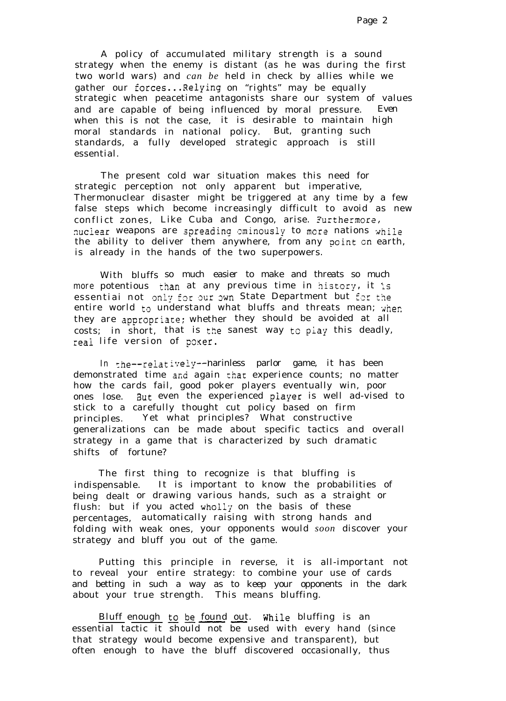A policy of accumulated military strength is a sound strategy when the enemy is distant (as he was during the first two world wars) and *can be* held in check by allies while we gather our forces...Relying on "rights" may be equally strategic when peacetime antagonists share our system of values and are capable of being influenced by moral pressure. Even when this is not the case, it is desirable to maintain high moral standards in national policy. But, granting such standards, a fully developed strategic approach is still essential.

The present cold war situation makes this need for strategic perception not only apparent but imperative, Thermonuclear disaster might be triggered at any time by a few false steps which become increasingly difficult to avoid as new conflict zones, Like Cuba and Congo, arise. Furthermore, nuclear weapons are spreading eminously to more nations while the ability to deliver them anywhere, from any goint cn earth, is already in the hands of the two superpowers.

With bluffs so much easier to make and threats so much more potentious than at any previous time in history, it is essentiai not only for our own State Department but for the entire world to understand what bluffs and threats mean; when they are appropriate; whether they should be avoided at all costs; in short, that is the sanest way to play this deadly, real life version of poxer.

In the--relatively--harinless parlor game, it has been demonstrated time and again that experience counts; no matter how the cards fail, good poker players eventually win, poor ones lose. But even the experienced player is well ad-vised to stick to a carefully thought cut policy based on firm principles. Yet what principles? What constructive generalizations can be made about specific tactics and overall strategy in a game that is characterized by such dramatic shifts of fortune?

The first thing to recognize is that bluffing is indispensable. It is important to know the probabilities of being dealt or drawing various hands, such as a straight or flush: but if you acted wholly on the basis of these percentages, automatically raising with strong hands and folding with weak ones, your opponents would *soon* discover your strategy and bluff you out of the game.

Putting this principle in reverse, it is all-important not to reveal your entire strategy: to combine your use of cards and betting in such a way as to keep your opponents in the dark about your true strength. This means bluffing. Putting this principle in reveal your entire strategy: to<br>betting in such a way as to k<br>your true strength. This m<br>Bluff enough to be found out.<br>tial tactic it should not be u

Bluff enough to be found out. While bluffing is an essential tactic it should not be used with every hand (since that strategy would become expensive and transparent), but often enough to have the bluff discovered occasionally, thus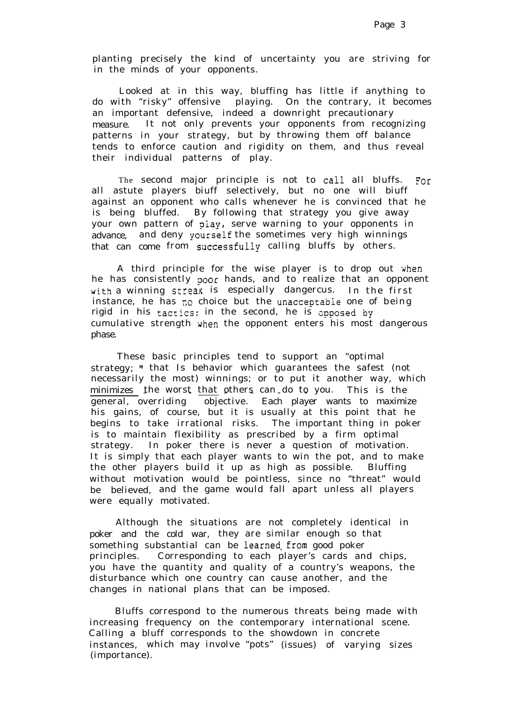planting precisely the kind of uncertainty you are striving for in the minds of your opponents.

Looked at in this way, bluffing has little if anything to do with "risky" offensive playing. On the contrary, it becomes an important defensive, indeed a downright precautionary measure. It not only prevents your opponents from recognizing patterns in your strategy, but by throwing them off balance tends to enforce caution and rigidity on them, and thus reveal their individual patterns of play.

The second major principle is not to call all bluffs. For all astute players biuff selectively, but no one will biuff against an opponent who calls whenever he is convinced that he is being bluffed. By following that strategy you give away your own pattern of piay, serve warning to your opponents in advance, and deny **yourself**the sometimes very high winnings that can come from successfully calling bluffs by others.

A third principle for the wise player is to drop out yhen he has consistently poor hands, and to realize that an opponent with a winning streax is especially dangercus. In the first instance, he has no choice but the unacceptabie one of being rigid in his tactics; in the second, he is opposed by cumulative strength when the opponent enters his most dangerous phase.

These basic principles tend to support an "optimal strategy; " that Is behavior which guarantees the safest (not necessarily the most) winnings; or to put it another way, which <u>minimizes </u> the worst <u>that</u> others can do to you. This is the general, overriding objective. Each player wants to maximize his gains, of course, but it is usually at this point that he begins to take irrational risks. The important thing in poker is to maintain flexibility as prescribed by a firm optimal strategy. In poker there is never a question of motivation. It is simply that each player wants to win the pot, and to make the other players build it up as high as possible. Bluffing without motivation would be pointless, since no "threat" would be believed, and the game would fall apart unless all players were equally motivated.

Although the situations are not completely identical in poker and the cold war, they are similar enough so that something substantial can be learned from good poker principles. Corresponding to each player's cards and chips, you have the quantity and quality of a country's weapons, the disturbance which one country can cause another, and the changes in national plans that can be imposed.

Bluffs correspond to the numerous threats being made with increasing frequency on the contemporary international scene. Calling a bluff corresponds to the showdown in concrete instances, which may involve "pots" (issues) of varying sizes (importance).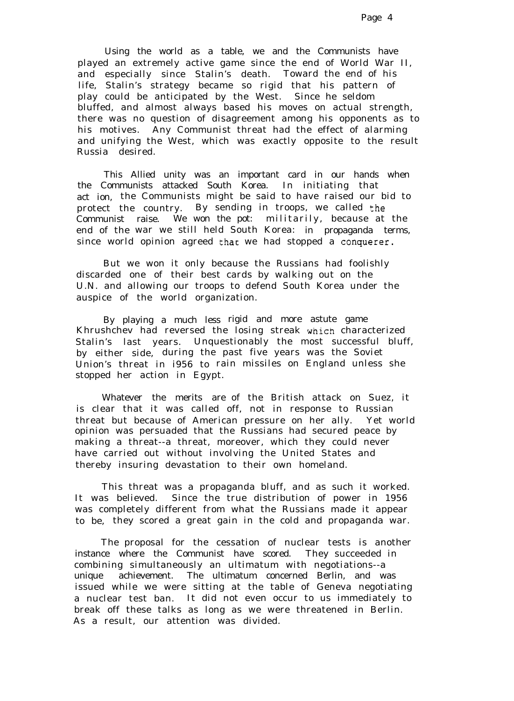Using the world as a table, we and the Communists have played an extremely active game since the end of World War II, and especially since Stalin's death. Toward the end of his life, Stalin's strategy became so rigid that his pattern of play could be anticipated by the West. Since he seldom bluffed, and almost always based his moves on actual strength, there was no question of disagreement among his opponents as to his motives. Any Communist threat had the effect of alarming and unifying the West, which was exactly opposite to the result Russia desired.

This Allied unity was an important card in our hands when the Communists attacked South Korea. In initiating that act ion, the Communists might be said to have raised our bid to protect the country. By sending in troops, we called the Communist raise. We won the pot: militarily, because at the end of the war we still held South Korea: in propaganda terms, since world opinion agreed that we had stopped a conquerer.

But we won it only because the Russians had foolishly discarded one of their best cards by walking out on the U.N. and allowing our troops to defend South Korea under the auspice of the world organization.

By playing a much less rigid and more astute game Khrushchev had reversed the losing streak which characterized Stalin's last years. Unquestionably the most successful bluff, by either side, during the past five years was the Soviet Union's threat in i956 to rain missiles on England unless she stopped her action in Egypt.

Whatever the merits are of the British attack on Suez, it is clear that it was called off, not in response to Russian threat but because of American pressure on her ally. Yet world opinion was persuaded that the Russians had secured peace by making a threat--a threat, moreover, which they could never have carried out without involving the United States and thereby insuring devastation to their own homeland.

This threat was a propaganda bluff, and as such it worked. It was believed. Since the true distribution of power in 1956 was completely different from what the Russians made it appear to be, they scored a great gain in the cold and propaganda war.

The proposal for the cessation of nuclear tests is another instance where the Communist have scored. They succeeded in combining simultaneously an ultimatum with negotiations--a unique achievement. The ultimatum concerned Berlin, and was issued while we were sitting at the table of Geneva negotiating a nuclear test ban. It did not even occur to us immediately to break off these talks as long as we were threatened in Berlin. As a result, our attention was divided.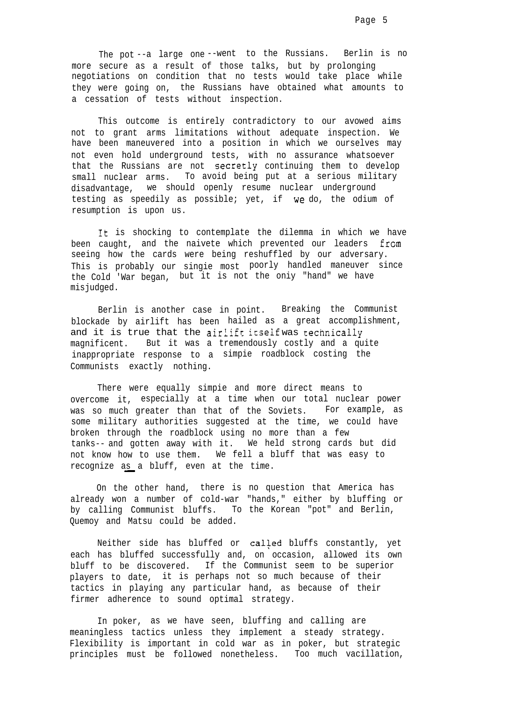The pot --a large one --went to the Russians. Berlin is no more secure as a result of those talks, but by prolonging negotiations on condition that no tests would take place while they were going on, the Russians have obtained what amounts to a cessation of tests without inspection.

This outcome is entirely contradictory to our avowed aims not to grant arms limitations without adequate inspection. We have been maneuvered into a position in which we ourselves may not even hold underground tests, with no assurance whatsoever that the Russians are not secretly continuing them to develop small nuclear arms. To avoid being put at a serious military disadvantage, we should openly resume nuclear underground testing as speedily as possible; yet, if we do, the odium of resumption is upon us.

It is shocking to contemplate the dilemma in which we have been caught, and the naivete which prevented our leaders from seeing how the cards were being reshuffled by our adversary. This is probably our singie most poorly handled maneuver since the Cold 'War began, but it is not the oniy "hand" we have misjudged.

Berlin is another case in point. Breaking the Communist blockade by airlift has been hailed as a great accomplishment, and it is true that the airlift itself was technically magnificent. But it was a tremendously costly and a quite inappropriate response to a simpie roadblock costing the Communists exactly nothing.

There were equally simpie and more direct means to overcome it, especially at a time when our total nuclear power was so much greater than that of the Soviets. For example, as some military authorities suggested at the time, we could have broken through the roadblock using no more than a few tanks-- and gotten away with it. We held strong cards but did not know how to use them. We fell a bluff that was easy to recognize  $as$  a bluff, even at the time.

On the other hand, there is no question that America has already won a number of cold-war "hands," either by bluffing or by calling Communist bluffs. To the Korean "pot" and Berlin, Quemoy and Matsu could be added.

Neither side has bluffed or called bluffs constantly, yet each has bluffed successfully and, on occasion, allowed its own bluff to be discovered. If the Communist seem to be superior players to date, it is perhaps not so much because of their tactics in playing any particular hand, as because of their firmer adherence to sound optimal strategy.

In poker, as we have seen, bluffing and calling are meaningless tactics unless they implement a steady strategy. Flexibility is important in cold war as in poker, but strategic principles must be followed nonetheless. Too much vacillation,